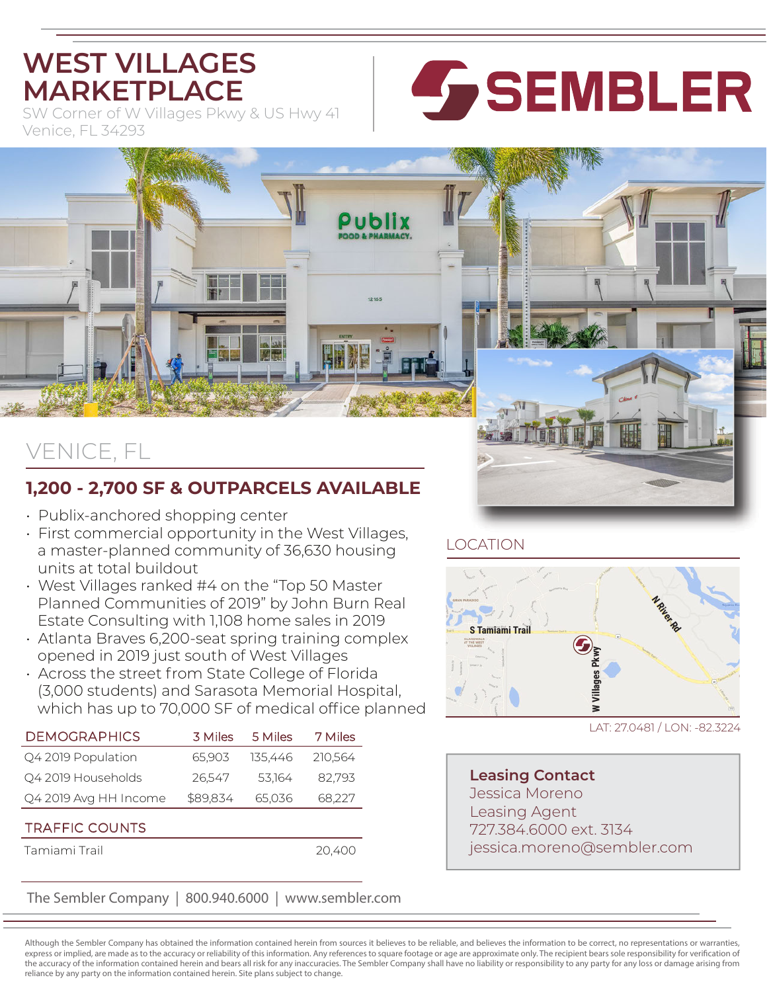## **WEST VILLAGES MARKETPLACE**

SW Corner of W Villages Pkwy & US Hwy 41 Venice, FL 34293



# VENICE, FL

### **1,200 - 2,700 SF & OUTPARCELS AVAILABLE**

- Publix-anchored shopping center
- First commercial opportunity in the West Villages, a master-planned community of 36,630 housing units at total buildout
- West Villages ranked #4 on the "Top 50 Master Planned Communities of 2019" by John Burn Real Estate Consulting with 1,108 home sales in 2019
- Atlanta Braves 6,200-seat spring training complex opened in 2019 just south of West Villages
- Across the street from State College of Florida (3,000 students) and Sarasota Memorial Hospital, which has up to 70,000 SF of medical office planned

| <b>DEMOGRAPHICS</b>   | 3 Miles  | 5 Miles | 7 Miles |
|-----------------------|----------|---------|---------|
| Q4 2019 Population    | 65,903   | 135.446 | 210,564 |
| Q4 2019 Households    | 26.547   | 53.164  | 82.793  |
| Q4 2019 Avg HH Income | \$89,834 | 65,036  | 68,227  |
| <b>TRAFFIC COUNTS</b> |          |         |         |
| Tamiami Trail         |          |         | 20.400  |

### The Sembler Company | 800.940.6000 | www.sembler.com

LOCATION



LAT: 27.0481 / LON: -82.3224

**Leasing Contact** Jessica Moreno Leasing Agent 727.384.6000 ext. 3134 jessica.moreno@sembler.com

Although the Sembler Company has obtained the information contained herein from sources it believes to be reliable, and believes the information to be correct, no representations or warranties, express or implied, are made as to the accuracy or reliability of this information. Any references to square footage or age are approximate only. The recipient bears sole responsibility for verification of the accuracy of the information contained herein and bears all risk for any inaccuracies. The Sembler Company shall have no liability or responsibility to any party for any loss or damage arising from reliance by any party on the information contained herein. Site plans subject to change.

12165